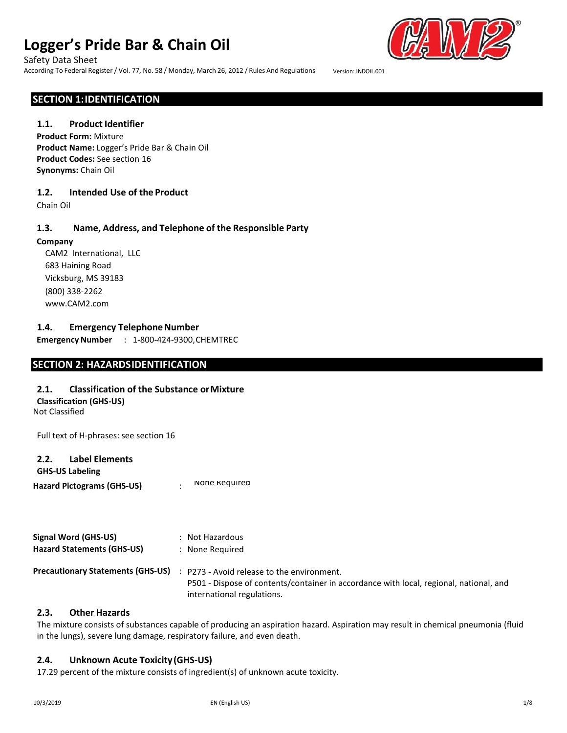#### Safety Data Sheet

According To Federal Register/ Vol. 77, No. 58 / Monday, March 26, 2012 / Rules And Regulations Version: INDOIL.001



### **SECTION 1:IDENTIFICATION**

#### **1.1. Product Identifier**

**Product Form:** Mixture **Product Name:** Logger's Pride Bar & Chain Oil **Product Codes:** See section 16 **Synonyms:** Chain Oil

#### **1.2. Intended Use of the Product**

Chain Oil

### **1.3. Name, Address, and Telephone of the Responsible Party**

**Company** CAM2 International, LLC 683 Haining Road Vicksburg, MS 39183 (800) 338-2262

[www.CAM2.com](http://www.cam2.com/)

### **1.4. Emergency TelephoneNumber**

**EmergencyNumber** : 1-800-424-9300,CHEMTREC

# **SECTION 2: HAZARDSIDENTIFICATION**

#### **2.1. Classification of the Substance orMixture**

**Classification (GHS-US)**

Not Classified

Full text of H-phrases: see section 16

#### **2.2. Label Elements**

**GHS-US Labeling** Hazard Pictograms (GHS-US) : None Required

| <b>Signal Word (GHS-US)</b>              | : Not Hazardous                                                                                                                                                  |
|------------------------------------------|------------------------------------------------------------------------------------------------------------------------------------------------------------------|
| <b>Hazard Statements (GHS-US)</b>        | None Reguired                                                                                                                                                    |
| <b>Precautionary Statements (GHS-US)</b> | P273 - Avoid release to the environment.<br>P501 - Dispose of contents/container in accordance with local, regional, national, and<br>international regulations. |

### **2.3. Other Hazards**

The mixture consists of substances capable of producing an aspiration hazard. Aspiration may result in chemical pneumonia (fluid in the lungs), severe lung damage, respiratory failure, and even death.

#### **2.4. Unknown Acute Toxicity(GHS-US)**

17.29 percent of the mixture consists of ingredient(s) of unknown acute toxicity.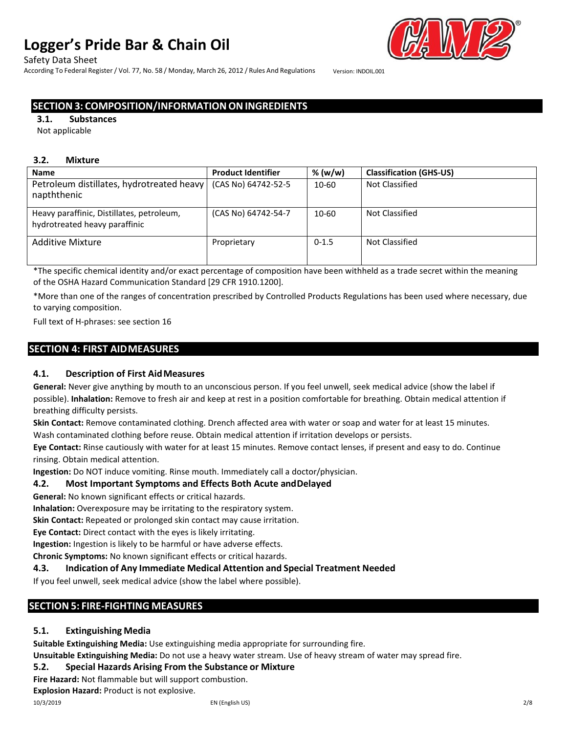Safety Data Sheet

According To Federal Register/ Vol. 77, No. 58 / Monday, March 26, 2012 / Rules And Regulations Version: INDOIL.001

# **SECTION3: COMPOSITION/INFORMATIONONINGREDIENTS**

**3.1. Substances**

Not applicable

#### **3.2. Mixture**

| <b>Name</b>                                                                | <b>Product Identifier</b> | % (w/w)   | <b>Classification (GHS-US)</b> |
|----------------------------------------------------------------------------|---------------------------|-----------|--------------------------------|
| Petroleum distillates, hydrotreated heavy<br>napththenic                   | (CAS No) 64742-52-5       | 10-60     | Not Classified                 |
| Heavy paraffinic, Distillates, petroleum,<br>hydrotreated heavy paraffinic | (CAS No) 64742-54-7       | $10 - 60$ | Not Classified                 |
| <b>Additive Mixture</b>                                                    | Proprietary               | $0 - 1.5$ | Not Classified                 |

\*The specific chemical identity and/or exact percentage of composition have been withheld as a trade secret within the meaning of the OSHA Hazard Communication Standard [29 CFR 1910.1200].

\*More than one of the ranges of concentration prescribed by Controlled Products Regulations has been used where necessary, due to varying composition.

Full text of H-phrases: see section 16

# **SECTION 4: FIRST AIDMEASURES**

### **4.1. Description of First AidMeasures**

**General:** Never give anything by mouth to an unconscious person. If you feel unwell, seek medical advice (show the label if possible). **Inhalation:** Remove to fresh air and keep at rest in a position comfortable for breathing. Obtain medical attention if breathing difficulty persists.

**Skin Contact:** Remove contaminated clothing. Drench affected area with water or soap and water for at least 15 minutes. Wash contaminated clothing before reuse. Obtain medical attention if irritation develops or persists.

**Eye Contact:** Rinse cautiously with water for at least 15 minutes. Remove contact lenses, if present and easy to do. Continue rinsing. Obtain medical attention.

**Ingestion:** Do NOT induce vomiting. Rinse mouth. Immediately call a doctor/physician.

#### **4.2. Most Important Symptoms and Effects Both Acute andDelayed**

**General:** No known significant effects or critical hazards.

**Inhalation:** Overexposure may be irritating to the respiratory system.

**Skin Contact:** Repeated or prolonged skin contact may cause irritation.

**Eye Contact:** Direct contact with the eyes is likely irritating.

**Ingestion:** Ingestion is likely to be harmful or have adverse effects.

**Chronic Symptoms:** No known significant effects or critical hazards.

#### **4.3. Indication of Any Immediate Medical Attention and Special Treatment Needed**

If you feel unwell, seek medical advice (show the label where possible).

# **SECTION5: FIRE-FIGHTING MEASURES**

#### **5.1. Extinguishing Media**

**Suitable Extinguishing Media:** Use extinguishing media appropriate for surrounding fire.

**Unsuitable Extinguishing Media:** Do not use a heavy water stream. Use of heavy stream of water may spread fire.

# **5.2. Special Hazards Arising From the Substance or Mixture**

**Fire Hazard:** Not flammable but will support combustion.

**Explosion Hazard:** Product is not explosive.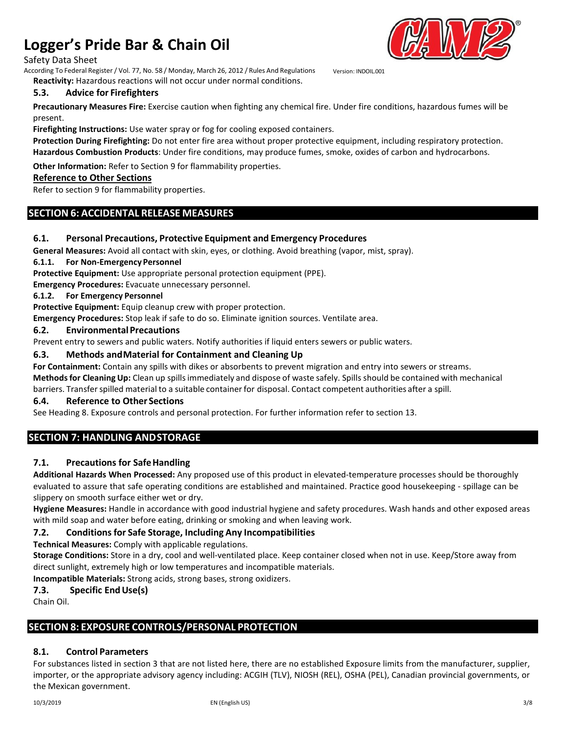#### Safety Data Sheet

According To Federal Register/ Vol. 77, No. 58 / Monday, March 26, 2012 / Rules And Regulations Version: INDOIL.001 **Reactivity:** Hazardous reactions will not occur under normal conditions.

# **5.3. Advice for Firefighters**

**Precautionary Measures Fire:** Exercise caution when fighting any chemical fire. Under fire conditions, hazardous fumes will be present.

**Firefighting Instructions:** Use water spray or fog for cooling exposed containers.

**Protection During Firefighting:** Do not enter fire area without proper protective equipment, including respiratory protection. **Hazardous Combustion Products**: Under fire conditions, may produce fumes, smoke, oxides of carbon and hydrocarbons.

**Other Information:** Refer to Section 9 for flammability properties.

#### **Reference to Other Sections**

Refer to section 9 for flammability properties.

# **SECTION 6: ACCIDENTAL RELEASE MEASURES**

#### **6.1. Personal Precautions, Protective Equipment and Emergency Procedures**

**General Measures:** Avoid all contact with skin, eyes, or clothing. Avoid breathing (vapor, mist, spray).

#### **6.1.1. For Non-EmergencyPersonnel**

**Protective Equipment:** Use appropriate personal protection equipment (PPE).

**Emergency Procedures:** Evacuate unnecessary personnel.

#### **6.1.2. For Emergency Personnel**

**Protective Equipment:** Equip cleanup crew with proper protection.

**Emergency Procedures:** Stop leak if safe to do so. Eliminate ignition sources. Ventilate area.

#### **6.2. Environmental Precautions**

Prevent entry to sewers and public waters. Notify authorities if liquid enters sewers or public waters.

#### **6.3. Methods andMaterial for Containment and Cleaning Up**

**For Containment:** Contain any spills with dikes or absorbents to prevent migration and entry into sewers or streams. **Methodsfor Cleaning Up:** Clean up spillsimmediately and dispose of waste safely. Spills should be contained with mechanical barriers. Transferspilled material to a suitable container for disposal. Contact competent authorities after a spill.

#### **6.4. Reference to Other Sections**

See Heading 8. Exposure controls and personal protection. For further information refer to section 13.

# **SECTION 7: HANDLING ANDSTORAGE**

#### **7.1. Precautions for SafeHandling**

**Additional Hazards When Processed:** Any proposed use of this product in elevated-temperature processes should be thoroughly evaluated to assure that safe operating conditions are established and maintained. Practice good housekeeping - spillage can be slippery on smooth surface either wet or dry.

**Hygiene Measures:** Handle in accordance with good industrial hygiene and safety procedures. Wash hands and other exposed areas with mild soap and water before eating, drinking or smoking and when leaving work.

#### **7.2. Conditionsfor Safe Storage, Including Any Incompatibilities**

**Technical Measures:** Comply with applicable regulations.

**Storage Conditions:** Store in a dry, cool and well-ventilated place. Keep container closed when not in use. Keep/Store away from direct sunlight, extremely high or low temperatures and incompatible materials.

**Incompatible Materials:** Strong acids, strong bases, strong oxidizers.

#### **7.3. Specific EndUse(s)**

Chain Oil.

### **SECTION8: EXPOSURE CONTROLS/PERSONAL PROTECTION**

#### **8.1. Control Parameters**

For substances listed in section 3 that are not listed here, there are no established Exposure limits from the manufacturer, supplier, importer, or the appropriate advisory agency including: ACGIH (TLV), NIOSH (REL), OSHA (PEL), Canadian provincial governments, or the Mexican government.

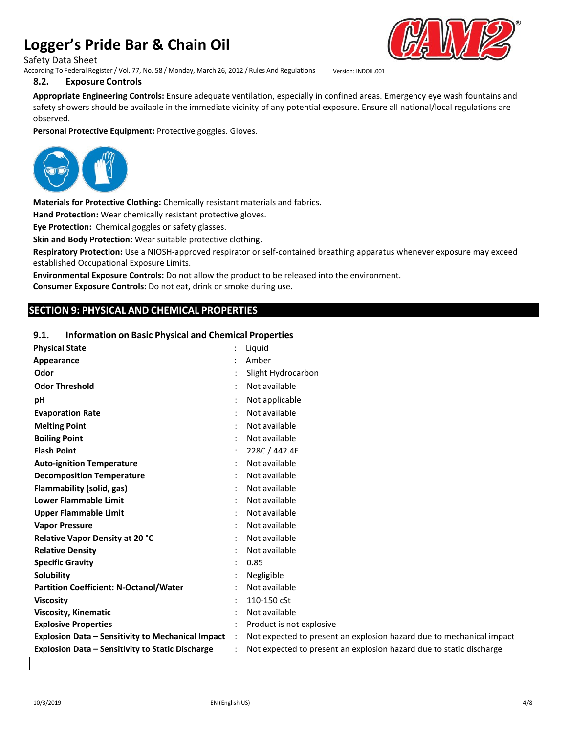Safety Data Sheet

According To Federal Register/ Vol. 77, No. 58 / Monday, March 26, 2012 / Rules And Regulations Version: INDOIL.001





**Appropriate Engineering Controls:** Ensure adequate ventilation, especially in confined areas. Emergency eye wash fountains and safety showers should be available in the immediate vicinity of any potential exposure. Ensure all national/local regulations are observed.

**Personal Protective Equipment:** Protective goggles. Gloves.



**Materials for Protective Clothing:** Chemically resistant materials and fabrics.

**Hand Protection:** Wear chemically resistant protective gloves.

**Eye Protection:** Chemical goggles or safety glasses.

**Skin and Body Protection:** Wear suitable protective clothing.

**Respiratory Protection:** Use a NIOSH-approved respirator or self-contained breathing apparatus whenever exposure may exceed established Occupational Exposure Limits.

**Environmental Exposure Controls:** Do not allow the product to be released into the environment.

**Consumer Exposure Controls:** Do not eat, drink or smoke during use.

# **SECTION 9: PHYSICAL AND CHEMICAL PROPERTIES**

### **9.1. Information on Basic Physical and Chemical Properties**

| Amber<br>Slight Hydrocarbon<br>Not available<br>Not applicable<br>Not available<br>Not available<br>Not available<br>228C / 442.4F<br>Not available<br>Not available<br>Not available<br>Not available<br>Not available<br>Not available<br>Not available<br>Not available<br>0.85<br>Negligible<br>Not available<br>110-150 cSt<br>Not available | <b>Physical State</b>                                    | Liquid                   |
|---------------------------------------------------------------------------------------------------------------------------------------------------------------------------------------------------------------------------------------------------------------------------------------------------------------------------------------------------|----------------------------------------------------------|--------------------------|
|                                                                                                                                                                                                                                                                                                                                                   | Appearance                                               |                          |
|                                                                                                                                                                                                                                                                                                                                                   | Odor                                                     |                          |
|                                                                                                                                                                                                                                                                                                                                                   | <b>Odor Threshold</b>                                    |                          |
|                                                                                                                                                                                                                                                                                                                                                   | рH                                                       |                          |
|                                                                                                                                                                                                                                                                                                                                                   | <b>Evaporation Rate</b>                                  |                          |
|                                                                                                                                                                                                                                                                                                                                                   | <b>Melting Point</b>                                     |                          |
|                                                                                                                                                                                                                                                                                                                                                   | <b>Boiling Point</b>                                     |                          |
|                                                                                                                                                                                                                                                                                                                                                   | <b>Flash Point</b>                                       |                          |
|                                                                                                                                                                                                                                                                                                                                                   | <b>Auto-ignition Temperature</b>                         |                          |
|                                                                                                                                                                                                                                                                                                                                                   | <b>Decomposition Temperature</b>                         |                          |
|                                                                                                                                                                                                                                                                                                                                                   | Flammability (solid, gas)                                |                          |
|                                                                                                                                                                                                                                                                                                                                                   | <b>Lower Flammable Limit</b>                             |                          |
|                                                                                                                                                                                                                                                                                                                                                   | <b>Upper Flammable Limit</b>                             |                          |
|                                                                                                                                                                                                                                                                                                                                                   | <b>Vapor Pressure</b>                                    |                          |
|                                                                                                                                                                                                                                                                                                                                                   | Relative Vapor Density at 20 °C                          |                          |
|                                                                                                                                                                                                                                                                                                                                                   | <b>Relative Density</b>                                  |                          |
|                                                                                                                                                                                                                                                                                                                                                   | <b>Specific Gravity</b>                                  |                          |
|                                                                                                                                                                                                                                                                                                                                                   | Solubility                                               |                          |
|                                                                                                                                                                                                                                                                                                                                                   | <b>Partition Coefficient: N-Octanol/Water</b>            |                          |
|                                                                                                                                                                                                                                                                                                                                                   | <b>Viscosity</b>                                         |                          |
|                                                                                                                                                                                                                                                                                                                                                   | <b>Viscosity, Kinematic</b>                              |                          |
|                                                                                                                                                                                                                                                                                                                                                   | <b>Explosive Properties</b>                              | Product is not explosive |
| Not expected to present an explosion hazard due to mechanical impact<br>$\ddot{\phantom{0}}$                                                                                                                                                                                                                                                      | <b>Explosion Data - Sensitivity to Mechanical Impact</b> |                          |
| Not expected to present an explosion hazard due to static discharge                                                                                                                                                                                                                                                                               | <b>Explosion Data - Sensitivity to Static Discharge</b>  |                          |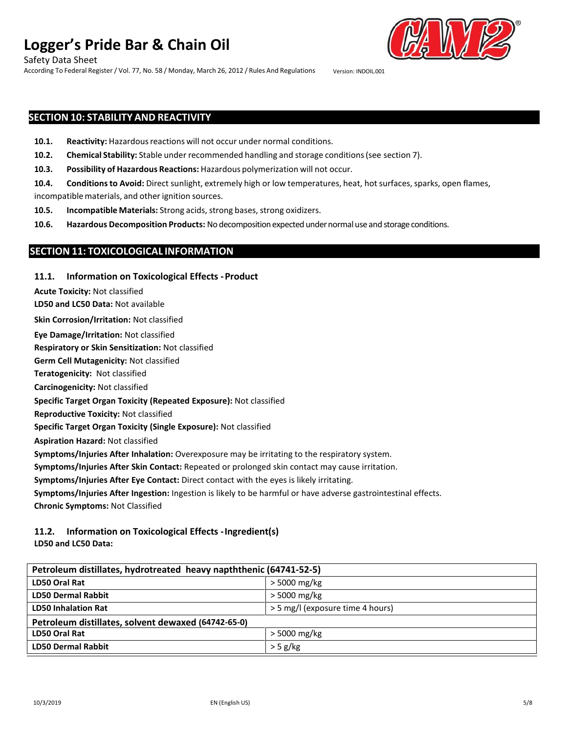Safety Data Sheet

According To Federal Register/ Vol. 77, No. 58 / Monday, March 26, 2012 / Rules And Regulations Version: INDOIL.001



# **SECTION 10: STABILITY AND REACTIVITY**

- **10.1. Reactivity:** Hazardous reactions will not occur under normal conditions.
- **10.2. Chemical Stability:** Stable under recommended handling and storage conditions(see section 7).
- **10.3. Possibility of Hazardous Reactions:** Hazardous polymerization will not occur.
- 10.4. Conditions to Avoid: Direct sunlight, extremely high or low temperatures, heat, hot surfaces, sparks, open flames,
- incompatible materials, and other ignition sources.
- **10.5. Incompatible Materials:** Strong acids, strong bases, strong oxidizers.
- **10.6. Hazardous Decomposition Products:** No decompositionexpectedundernormaluse and storageconditions.

### **SECTION11: TOXICOLOGICAL INFORMATION**

#### **11.1. Information on Toxicological Effects -Product**

**Acute Toxicity:** Not classified

**LD50 and LC50 Data:** Not available

**Skin Corrosion/Irritation:** Not classified

**Eye Damage/Irritation:** Not classified

**Respiratory or Skin Sensitization:** Not classified

**Germ Cell Mutagenicity:** Not classified

**Teratogenicity:** Not classified

**Carcinogenicity:** Not classified

**Specific Target Organ Toxicity (Repeated Exposure):** Not classified

**Reproductive Toxicity:** Not classified

**Specific Target Organ Toxicity (Single Exposure):** Not classified

**Aspiration Hazard:** Not classified

**Symptoms/Injuries After Inhalation:** Overexposure may be irritating to the respiratory system.

**Symptoms/Injuries After Skin Contact:** Repeated or prolonged skin contact may cause irritation.

**Symptoms/Injuries After Eye Contact:** Direct contact with the eyes is likely irritating.

**Symptoms/Injuries After Ingestion:** Ingestion is likely to be harmful or have adverse gastrointestinal effects. **Chronic Symptoms:** Not Classified

### **11.2. Information on Toxicological Effects -Ingredient(s)**

**LD50 and LC50 Data:**

| Petroleum distillates, hydrotreated heavy napththenic (64741-52-5) |                                  |  |
|--------------------------------------------------------------------|----------------------------------|--|
| LD50 Oral Rat                                                      | > 5000 mg/kg                     |  |
| <b>LD50 Dermal Rabbit</b>                                          | > 5000 mg/kg                     |  |
| <b>LD50 Inhalation Rat</b>                                         | > 5 mg/l (exposure time 4 hours) |  |
| Petroleum distillates, solvent dewaxed (64742-65-0)                |                                  |  |
| LD50 Oral Rat                                                      | > 5000 mg/kg                     |  |
| <b>LD50 Dermal Rabbit</b>                                          | $>$ 5 g/kg                       |  |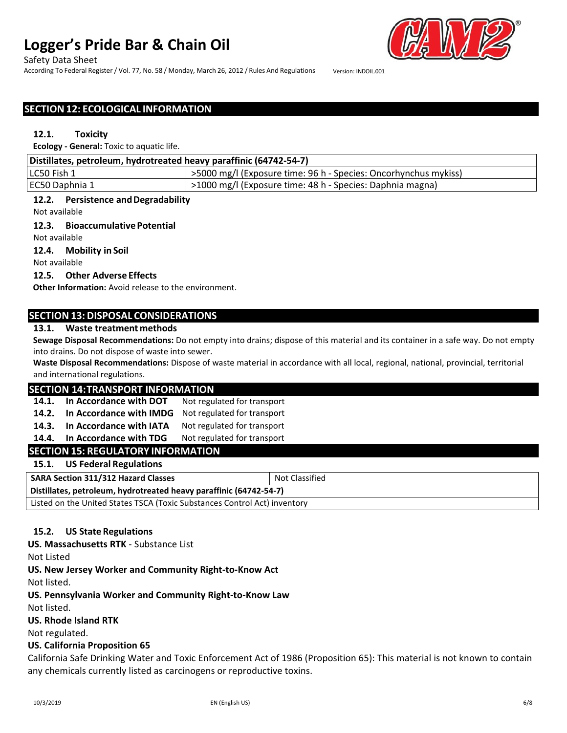#### Safety Data Sheet

According To Federal Register/ Vol. 77, No. 58 / Monday, March 26, 2012 / Rules And Regulations Version: INDOIL.001

# **SECTION12: ECOLOGICAL INFORMATION**

#### **12.1. Toxicity**

**Ecology - General:** Toxic to aquatic life.

| Distillates, petroleum, hydrotreated heavy paraffinic (64742-54-7) |                                                                 |  |
|--------------------------------------------------------------------|-----------------------------------------------------------------|--|
| LC50 Fish 1                                                        | >5000 mg/l (Exposure time: 96 h - Species: Oncorhynchus mykiss) |  |
| EC50 Daphnia 1                                                     | >1000 mg/l (Exposure time: 48 h - Species: Daphnia magna)       |  |

#### **12.2. Persistence andDegradability**

Not available

#### **12.3. Bioaccumulative Potential**

Not available

#### **12.4. Mobility in Soil**

Not available

### **12.5. Other Adverse Effects**

**Other Information:** Avoid release to the environment.

# **SECTION13: DISPOSAL CONSIDERATIONS**

#### **13.1. Waste treatment methods**

**Sewage Disposal Recommendations:** Do not empty into drains; dispose of this material and its container in a safe way. Do not empty into drains. Do not dispose of waste into sewer.

**Waste Disposal Recommendations:** Dispose of waste material in accordance with all local, regional, national, provincial, territorial and international regulations.

#### **SECTION 14:TRANSPORT INFORMATION**

**14.1. In Accordance with DOT** Not regulated for transport

**14.2. In Accordance with IMDG** Not regulated for transport

**14.3. In Accordance with IATA** Not regulated for transport

**14.4. In Accordance with TDG** Not regulated for transport

# **SECTION15: REGULATORY INFORMATION**

### **15.1. US Federal Regulations**

| <b>SARA Section 311/312 Hazard Classes</b>                                | Not Classified |
|---------------------------------------------------------------------------|----------------|
| Distillates, petroleum, hydrotreated heavy paraffinic (64742-54-7)        |                |
| Listed on the United States TSCA (Toxic Substances Control Act) inventory |                |

### **15.2. US State Regulations**

**US. Massachusetts RTK** - Substance List

Not Listed

**US. New Jersey Worker and Community Right-to-Know Act**

Not listed.

**US. Pennsylvania Worker and Community Right-to-Know Law**

Not listed.

#### **US. Rhode Island RTK**

Not regulated.

#### **US. California Proposition 65**

California Safe Drinking Water and Toxic Enforcement Act of 1986 (Proposition 65): This material is not known to contain any chemicals currently listed as carcinogens or reproductive toxins.